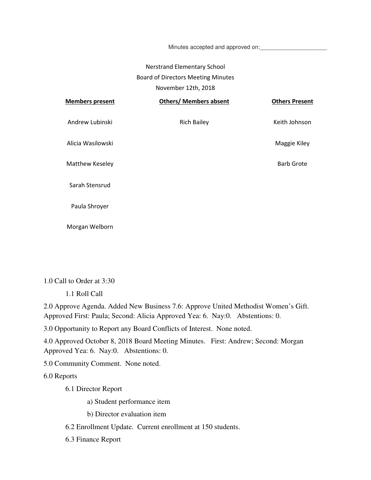Minutes accepted and approved on:

## Nerstrand Elementary School Board of Directors Meeting Minutes November 12th, 2018

| <b>Members present</b> | <b>Others/ Members absent</b> | <b>Others Present</b> |
|------------------------|-------------------------------|-----------------------|
| Andrew Lubinski        | <b>Rich Bailey</b>            | Keith Johnson         |
| Alicia Wasilowski      |                               | Maggie Kiley          |
| Matthew Keseley        |                               | <b>Barb Grote</b>     |
| Sarah Stensrud         |                               |                       |
| Paula Shroyer          |                               |                       |
| Morgan Welborn         |                               |                       |

1.0 Call to Order at 3:30

1.1 Roll Call

2.0 Approve Agenda. Added New Business 7.6: Approve United Methodist Women's Gift. Approved First: Paula; Second: Alicia Approved Yea: 6. Nay:0. Abstentions: 0.

3.0 Opportunity to Report any Board Conflicts of Interest. None noted.

4.0 Approved October 8, 2018 Board Meeting Minutes. First: Andrew; Second: Morgan Approved Yea: 6. Nay:0. Abstentions: 0.

5.0 Community Comment. None noted.

6.0 Reports

6.1 Director Report

a) Student performance item

b) Director evaluation item

6.2 Enrollment Update. Current enrollment at 150 students.

6.3 Finance Report